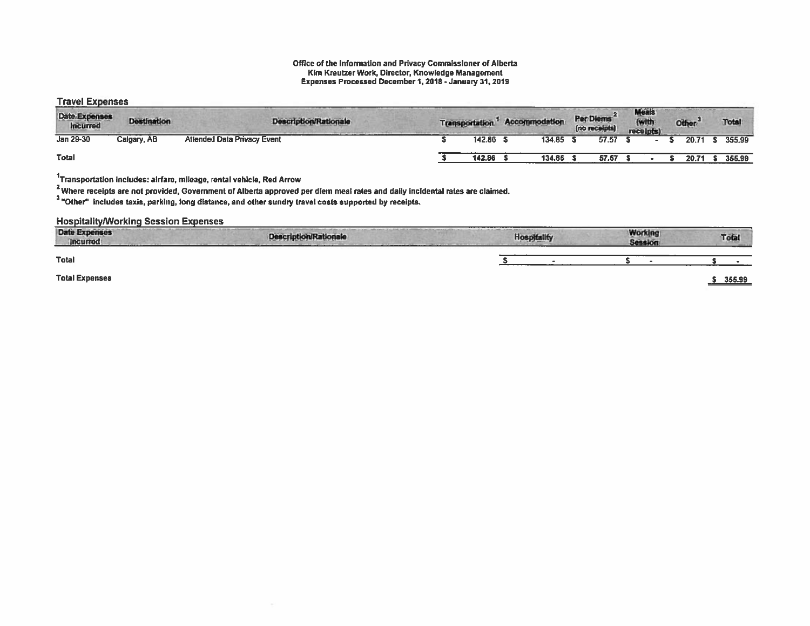#### Office of the Information and Privacy Commissioner of Alberta Kim Kreutzer Work, Director, Knowledge Management Expenses Processed December 1,2018 -January 31, 2019

### Travel Expenses

| <b>Date Expenses</b><br><b>Incurred</b> | <b>Destination</b> | <b>Description/Rationale</b>       | <b>Transportation</b> | <b>Accommodation</b> | Per Diems<br>(no receipts) | <b>Meals</b><br>(with<br>receipts) | Other <sup>-</sup> | Total  |
|-----------------------------------------|--------------------|------------------------------------|-----------------------|----------------------|----------------------------|------------------------------------|--------------------|--------|
| Jan 29-30                               | Calgary, AB        | <b>Attended Data Privacy Event</b> | 142.86                | 134.85               | 57.57                      |                                    | 20.71              | 355.99 |
| Total                                   |                    |                                    | 142.86                | 134.85               | 57.57                      |                                    | 20.71              | 355.99 |

 $1$ Transportation includes: airfare, mileage, rental vehicle, Red Arrow

 $2$  Where receipts are not provided, Government of Alberta approved per diem meal rates and daily incidental rates are claimed.

'Other" includes taxis, parking, long distance, and other sundry travel costs supported by receipts.

Hospitality/Working Session Expenses

| <b>Date Expenses</b><br><b>Incurred</b> | <b>Description/Rationale</b> | <b>Hospitality</b> | <b>Working</b><br><b>Session</b> | Total<br><b>Contract of</b> |
|-----------------------------------------|------------------------------|--------------------|----------------------------------|-----------------------------|
| <b>Total</b>                            |                              |                    |                                  |                             |
| <b>Total Expenses</b>                   |                              |                    |                                  | 355.99                      |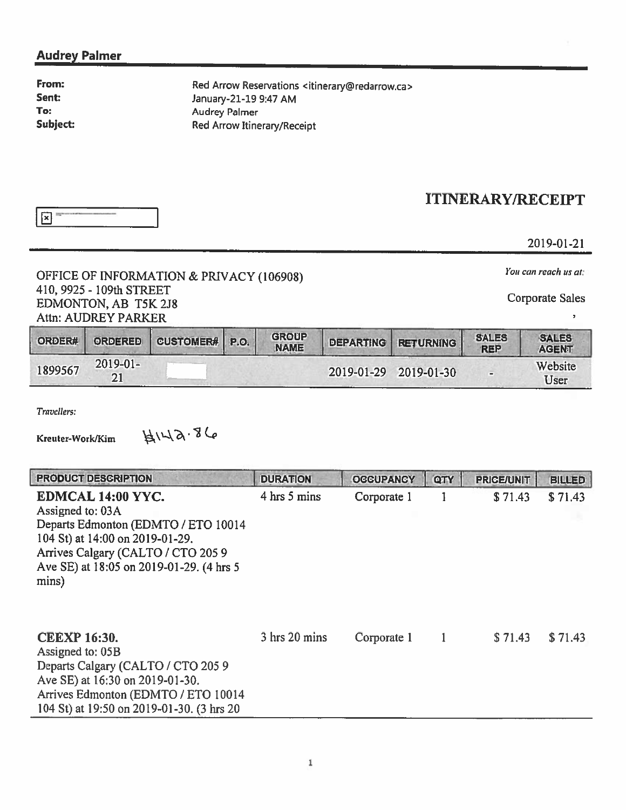### Audrey Palmer

From: Sent: To: Subject: Red Arrow Reservations <itinerary@redarrow.ca> January-21-19 9:47 AM Audrey Palmer Red Arrow Itinerary/Receipt

## ITINERARY/RECEIPT

 $\mathbf{z}$  = - I

2019-01-21

# OFFICE OF INFORMATION & PRIVACY (106908) *You can reach us at:*  $(106908)$  *You can reach us at:*  $(106908)$ 410, 9925 - 109th STREET Corporate Sales Corporate Sales Corporate Sales Attn: AUDREY PARKER

 $\overline{\phantom{a}}$ 

| ORDER#  | <b>ORDERED</b> | CUSTOMER# P.O. | <b>GROUP</b><br><b>NAME</b> | <b>DEPARTING</b> | <b>RETURNING</b> | <b>SALES</b><br><b>REP</b> | <b>SALES</b><br><b>AGENT</b> |
|---------|----------------|----------------|-----------------------------|------------------|------------------|----------------------------|------------------------------|
| 1899567 | $2019 - 01 -$  |                |                             | 2019-01-29       | 2019-01-30       | $\blacksquare$             | Website<br>User              |

Travellers:

Kreuter-Work/Kim  $\forall x \in \mathbb{R}$ 

| <b>PRODUCT DESCRIPTION</b>                                                                                                                                                                                | <b>DURATION</b> | <b>OCCUPANCY</b> | QTY | <b>PRICE/UNIT</b> | <b>BILLED</b> |
|-----------------------------------------------------------------------------------------------------------------------------------------------------------------------------------------------------------|-----------------|------------------|-----|-------------------|---------------|
| EDMCAL 14:00 YYC.<br>Assigned to: 03A<br>Departs Edmonton (EDMTO / ETO 10014<br>104 St) at 14:00 on 2019-01-29.<br>Arrives Calgary (CALTO / CTO 2059<br>Ave SE) at 18:05 on 2019-01-29. (4 hrs 5<br>mins) | 4 hrs 5 mins    | Corporate 1      |     | \$71.43           | \$71.43       |
| <b>CEEXP 16:30.</b><br>Assigned to: 05B<br>Departs Calgary (CALTO / CTO 2059)<br>Ave SE) at 16:30 on 2019-01-30.<br>Arrives Edmonton (EDMTO / ETO 10014<br>104 St) at 19:50 on 2019-01-30. (3 hrs 20      | 3 hrs 20 mins   | Corporate 1      |     | \$71.43           | \$71.43       |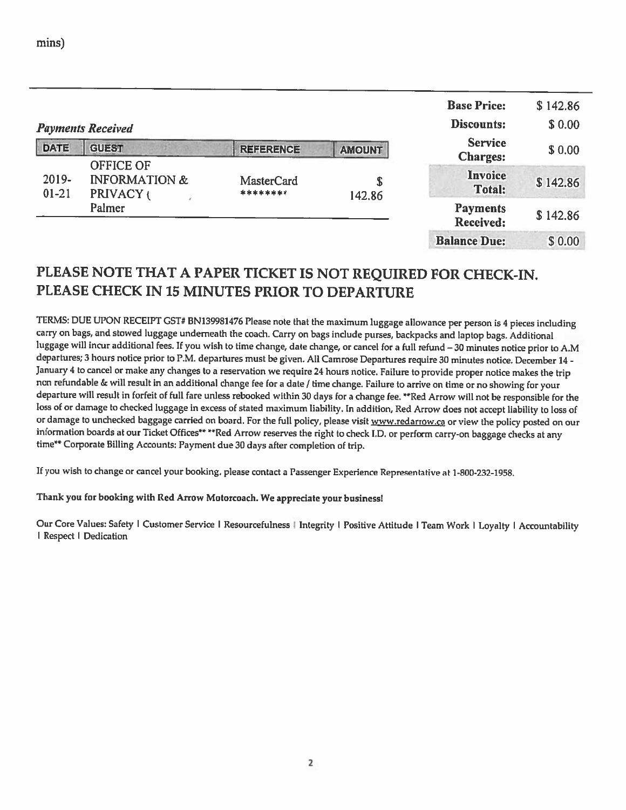|                    | <b>Payments Received</b>                                  |                               |               | <b>Base Price:</b><br>Discounts:  | \$142.86<br>\$0.00 |
|--------------------|-----------------------------------------------------------|-------------------------------|---------------|-----------------------------------|--------------------|
| <b>DATE</b>        | <b>GUEST</b>                                              | <b>REFERENCE</b>              | <b>AMOUNT</b> | <b>Service</b><br><b>Charges:</b> | \$0.00             |
| 2019-<br>$01 - 21$ | <b>OFFICE OF</b><br><b>INFORMATION &amp;</b><br>PRIVACY ( | <b>MasterCard</b><br>******** | \$<br>142.86  | Invoice<br><b>Total:</b>          | \$142.86           |
|                    | Palmer                                                    |                               |               | <b>Payments</b><br>Received:      | \$142.86           |
|                    |                                                           |                               |               | <b>Balance Due:</b>               | \$0.00             |

## PLEASE NOTE THAT <sup>A</sup> PAPER TICKET IS NOT REQUIRED FOR CHECK-IN. PLEASE CHECK IN 15 MINUTES PRIOR TO DEPARTURE

TERMS: DUE UPON RECEIPT GST# BN139981476 Please note that the maximum luggage allowance per person is <sup>4</sup> <sup>p</sup>ieces including carry on bags, and stowed luggage underneath the coach. Carry on bags include purses, backpacks and laptop bags. Additional luggage will incur additional fees. If you wish to time change, date change, or cancel for <sup>a</sup> full refund —30 minutes notice prior to A.M departures; <sup>3</sup> hours notice prior to P.M. departures must be <sup>g</sup>iven. All Camrose Departures require <sup>30</sup> minutes notice. December 14- January <sup>4</sup> to cancel or make any changes to <sup>a</sup> reservation we require <sup>24</sup> hours notice. Failure to provide proper notice makes the trip non refundable & will result in an additional change fee for <sup>a</sup> date / time change. Failure to arrive on time or no showing for your departure will result in forfeit of full fare unless rebooked within <sup>30</sup> days for <sup>a</sup> change fee. \*\*Red Arrow will not be responsible for the loss of or damage to checked luggage in excess of stated maximum liability. In addition, Red Arrow does not accept liability to loss of or damage to unchecked baggage carried on board. For the full policy, please visit www.redarrow.ca or view the policy posted on our information boards at our Ticket Offices\*\* \*\*Red Arrow reserves the right to check I.D. or perform carry-on baggage checks at any time\*\* Corporate Billing Accounts: Payment due <sup>30</sup> days after completion of trip.

If you wish to change or cancel your booking, <sup>p</sup>lease contact <sup>a</sup> Passenger Experience Representative at 1-800-232-1958.

### Thank you for booking with Red Arrow Motorcoach. We appreciate your business!

Our Core Values: Safety | Customer Service | Resourcefulness | Integrity | Positive Attitude | Team Work | Loyalty | Accountability I Respect I Dedication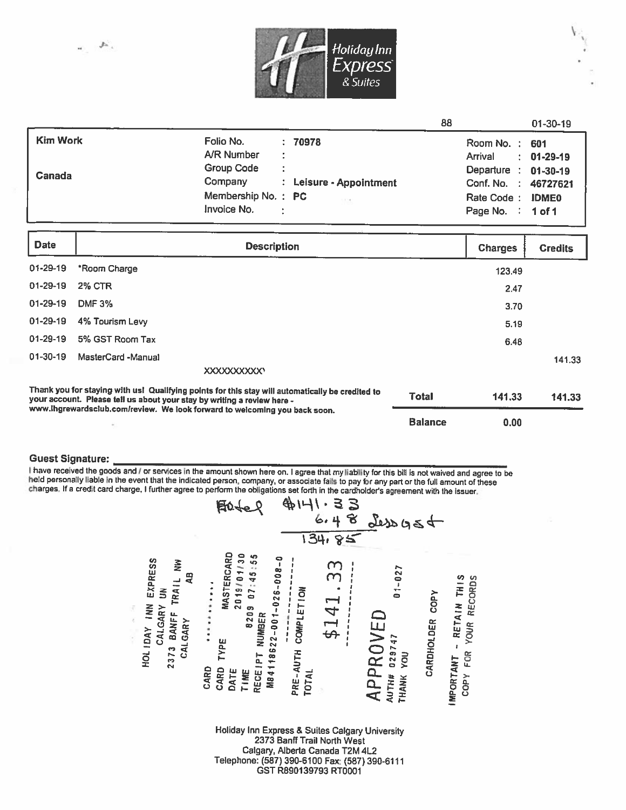

|                 |                                 | 88                     | $01 - 30 - 19$ |
|-----------------|---------------------------------|------------------------|----------------|
| <b>Kim Work</b> | Folio No.<br>: 70978            | Room No.: 601          |                |
|                 | A/R Number<br>÷                 | Arrival                | $: 01-29-19$   |
| Canada          | <b>Group Code</b><br>÷          | Departure : 01-30-19   |                |
|                 | Company : Leisure - Appointment | Conf. No. : 46727621   |                |
|                 | Membership No.: PC<br>$-0.025$  | Rate Code: IDME0       |                |
|                 | Invoice No.<br>÷                | Page No. $\div$ 1 of 1 |                |

| <b>Date</b>                                                                                                                                                                                                                                               | <b>Description</b> |                | <b>Charges</b> | <b>Credits</b> |
|-----------------------------------------------------------------------------------------------------------------------------------------------------------------------------------------------------------------------------------------------------------|--------------------|----------------|----------------|----------------|
| $01 - 29 - 19$                                                                                                                                                                                                                                            | *Room Charge       |                | 123.49         |                |
| $01 - 29 - 19$                                                                                                                                                                                                                                            | <b>2% CTR</b>      |                | 2.47           |                |
| $01 - 29 - 19$                                                                                                                                                                                                                                            | <b>DMF 3%</b>      |                | 3.70           |                |
| $01 - 29 - 19$                                                                                                                                                                                                                                            | 4% Tourism Levy    |                | 5.19           |                |
| $01 - 29 - 19$                                                                                                                                                                                                                                            | 5% GST Room Tax    |                | 6.48           |                |
| $01 - 30 - 19$                                                                                                                                                                                                                                            | MasterCard -Manual |                |                | 141.33         |
|                                                                                                                                                                                                                                                           |                    |                |                |                |
| Thank you for staying with usl Qualifying points for this stay will automatically be credited to<br>your account. Please tell us about your stay by writing a review here -<br>www.ihgrewardsclub.com/review. We look forward to welcoming you back soon. |                    | <b>Total</b>   | 141.33         | 141.33         |
|                                                                                                                                                                                                                                                           |                    | <b>Balance</b> | 0.00           |                |

### **Guest Signature:**

I have received the goods and / or services in the amount shown here on. I agree that my liability for this bill is not waived and agree to be held personally liable in the event that the indicated person, company, or associate fails to pay for any part or the full amount of these charges. If a credit card charge, I further agree to perform the obligations set forth in the cardholder's agreement with the issuer.



Calgary, Alberta Canada T2M 4L2 Telephone: (587) 390-6100 Fax: (587) 390-6111 GST R890139793 RT0001